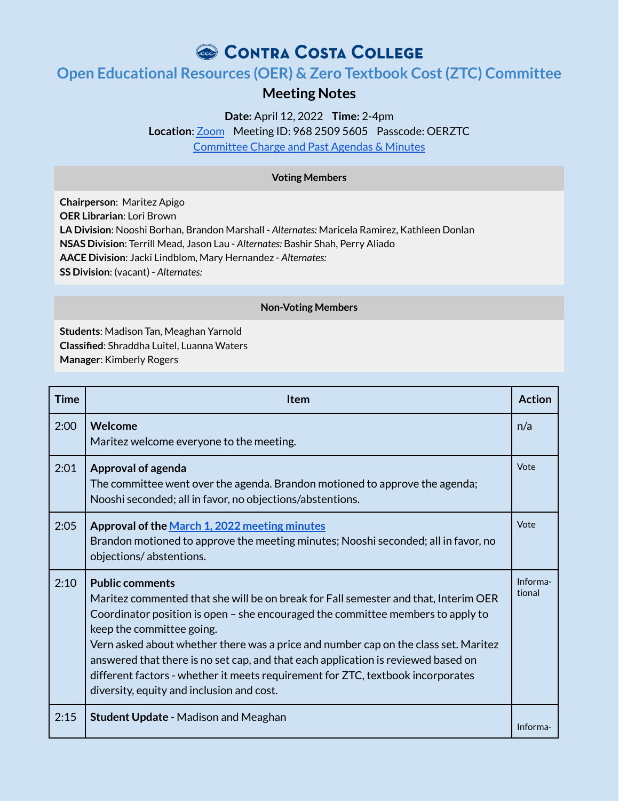# CONTRA COSTA COLLEGE

## **Open Educational Resources (OER) & Zero Textbook Cost(ZTC) Committee**

### **Meeting Notes**

**Date:** April 12, 2022 **Time:** 2-4pm

Location: [Zoom](https://4cd.zoom.us/j/96825095605?pwd=ekxnYlZmbWpoWnNnS3JRdnFLQUxUUT09) Meeting ID: 968 2509 5605 Passcode: OERZTC [Committee](https://www.contracosta.edu/about/administration/college-committees/open-educational-resources-oer-and-zero-textbook-cost-ztc-committee/) Charge and Past Agendas & Minutes

### **Voting Members**

**Chairperson**: Maritez Apigo **OER Librarian**: Lori Brown **LA Division**: Nooshi Borhan, Brandon Marshall - *Alternates:* Maricela Ramirez, Kathleen Donlan **NSAS Division**: Terrill Mead, Jason Lau - *Alternates:* Bashir Shah, Perry Aliado **AACE Division**: Jacki Lindblom, Mary Hernandez - *Alternates:* **SS Division**: (vacant) - *Alternates:*

#### **Non-Voting Members**

**Students**: Madison Tan, Meaghan Yarnold **Classified**: Shraddha Luitel, Luanna Waters **Manager**: Kimberly Rogers

| <b>Time</b> | <b>Item</b>                                                                                                                                                                                                                                                                                                                                                                                                                                                                                                                               | <b>Action</b>      |
|-------------|-------------------------------------------------------------------------------------------------------------------------------------------------------------------------------------------------------------------------------------------------------------------------------------------------------------------------------------------------------------------------------------------------------------------------------------------------------------------------------------------------------------------------------------------|--------------------|
| 2:00        | Welcome<br>Maritez welcome everyone to the meeting.                                                                                                                                                                                                                                                                                                                                                                                                                                                                                       | n/a                |
| 2:01        | Approval of agenda<br>The committee went over the agenda. Brandon motioned to approve the agenda;<br>Nooshi seconded; all in favor, no objections/abstentions.                                                                                                                                                                                                                                                                                                                                                                            | Vote               |
| 2:05        | Approval of the March 1, 2022 meeting minutes<br>Brandon motioned to approve the meeting minutes; Nooshi seconded; all in favor, no<br>objections/abstentions.                                                                                                                                                                                                                                                                                                                                                                            | Vote               |
| 2:10        | <b>Public comments</b><br>Maritez commented that she will be on break for Fall semester and that, Interim OER<br>Coordinator position is open – she encouraged the committee members to apply to<br>keep the committee going.<br>Vern asked about whether there was a price and number cap on the class set. Maritez<br>answered that there is no set cap, and that each application is reviewed based on<br>different factors - whether it meets requirement for ZTC, textbook incorporates<br>diversity, equity and inclusion and cost. | Informa-<br>tional |
| 2:15        | <b>Student Update - Madison and Meaghan</b>                                                                                                                                                                                                                                                                                                                                                                                                                                                                                               | Informa-           |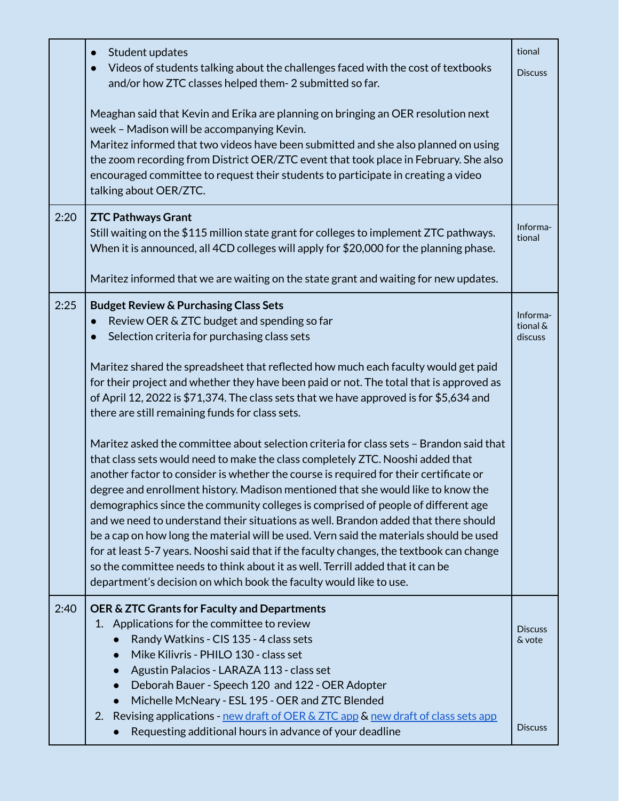|      | Student updates<br>Videos of students talking about the challenges faced with the cost of textbooks<br>and/or how ZTC classes helped them- 2 submitted so far.<br>Meaghan said that Kevin and Erika are planning on bringing an OER resolution next<br>week - Madison will be accompanying Kevin.<br>Maritez informed that two videos have been submitted and she also planned on using<br>the zoom recording from District OER/ZTC event that took place in February. She also<br>encouraged committee to request their students to participate in creating a video<br>talking about OER/ZTC.                                                                                                                                                                                                                                                                                                                                                                                                                                                                                                                                                                                                                                                                                                                                                                    | tional<br><b>Discuss</b>                   |
|------|-------------------------------------------------------------------------------------------------------------------------------------------------------------------------------------------------------------------------------------------------------------------------------------------------------------------------------------------------------------------------------------------------------------------------------------------------------------------------------------------------------------------------------------------------------------------------------------------------------------------------------------------------------------------------------------------------------------------------------------------------------------------------------------------------------------------------------------------------------------------------------------------------------------------------------------------------------------------------------------------------------------------------------------------------------------------------------------------------------------------------------------------------------------------------------------------------------------------------------------------------------------------------------------------------------------------------------------------------------------------|--------------------------------------------|
| 2:20 | <b>ZTC Pathways Grant</b><br>Still waiting on the \$115 million state grant for colleges to implement ZTC pathways.<br>When it is announced, all 4CD colleges will apply for \$20,000 for the planning phase.<br>Maritez informed that we are waiting on the state grant and waiting for new updates.                                                                                                                                                                                                                                                                                                                                                                                                                                                                                                                                                                                                                                                                                                                                                                                                                                                                                                                                                                                                                                                             | Informa-<br>tional                         |
| 2:25 | <b>Budget Review &amp; Purchasing Class Sets</b><br>Review OER & ZTC budget and spending so far<br>Selection criteria for purchasing class sets<br>Maritez shared the spreadsheet that reflected how much each faculty would get paid<br>for their project and whether they have been paid or not. The total that is approved as<br>of April 12, 2022 is \$71,374. The class sets that we have approved is for \$5,634 and<br>there are still remaining funds for class sets.<br>Maritez asked the committee about selection criteria for class sets - Brandon said that<br>that class sets would need to make the class completely ZTC. Nooshi added that<br>another factor to consider is whether the course is required for their certificate or<br>degree and enrollment history. Madison mentioned that she would like to know the<br>demographics since the community colleges is comprised of people of different age<br>and we need to understand their situations as well. Brandon added that there should<br>be a cap on how long the material will be used. Vern said the materials should be used<br>for at least 5-7 years. Nooshi said that if the faculty changes, the textbook can change<br>so the committee needs to think about it as well. Terrill added that it can be<br>department's decision on which book the faculty would like to use. | Informa-<br>tional &<br>discuss            |
| 2:40 | OER & ZTC Grants for Faculty and Departments<br>1. Applications for the committee to review<br>Randy Watkins - CIS 135 - 4 class sets<br>Mike Kilivris - PHILO 130 - class set<br>Agustin Palacios - LARAZA 113 - class set<br>Deborah Bauer - Speech 120 and 122 - OER Adopter<br>Michelle McNeary - ESL 195 - OER and ZTC Blended<br>$\bullet$<br>2. Revising applications - new draft of OER & ZTC app & new draft of class sets app<br>Requesting additional hours in advance of your deadline                                                                                                                                                                                                                                                                                                                                                                                                                                                                                                                                                                                                                                                                                                                                                                                                                                                                | <b>Discuss</b><br>& vote<br><b>Discuss</b> |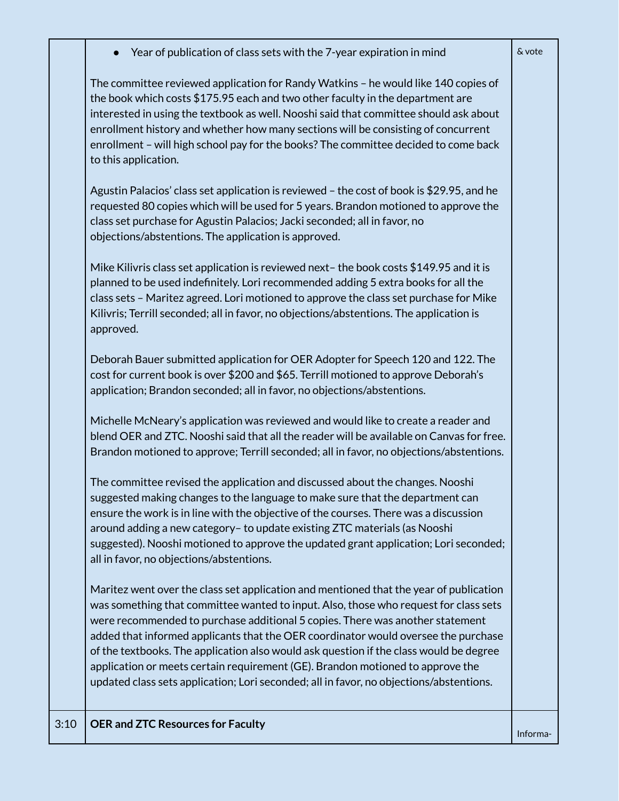|  | Year of publication of class sets with the 7-year expiration in mind |  |  |  |  |  |
|--|----------------------------------------------------------------------|--|--|--|--|--|
|--|----------------------------------------------------------------------|--|--|--|--|--|

The committee reviewed application for Randy Watkins – he would like 140 copies of the book which costs \$175.95 each and two other faculty in the department are interested in using the textbook as well. Nooshi said that committee should ask about enrollment history and whether how many sections will be consisting of concurrent enrollment – will high school pay for the books? The committee decided to come back to this application.

Agustin Palacios' class set application is reviewed – the cost of book is \$29.95, and he requested 80 copies which will be used for 5 years. Brandon motioned to approve the class set purchase for Agustin Palacios; Jacki seconded; all in favor, no objections/abstentions. The application is approved.

Mike Kilivris class set application is reviewed next– the book costs \$149.95 and it is planned to be used indefinitely. Lori recommended adding 5 extra books for all the class sets – Maritez agreed. Lori motioned to approve the class set purchase for Mike Kilivris; Terrill seconded; all in favor, no objections/abstentions. The application is approved.

Deborah Bauer submitted application for OER Adopter for Speech 120 and 122. The cost for current book is over \$200 and \$65. Terrill motioned to approve Deborah's application; Brandon seconded; all in favor, no objections/abstentions.

Michelle McNeary's application was reviewed and would like to create a reader and blend OER and ZTC. Nooshi said that all the reader will be available on Canvas for free. Brandon motioned to approve; Terrill seconded; all in favor, no objections/abstentions.

The committee revised the application and discussed about the changes. Nooshi suggested making changes to the language to make sure that the department can ensure the work is in line with the objective of the courses. There was a discussion around adding a new category– to update existing ZTC materials (as Nooshi suggested). Nooshi motioned to approve the updated grant application; Lori seconded; all in favor, no objections/abstentions.

Maritez went over the class set application and mentioned that the year of publication was something that committee wanted to input. Also, those who request for class sets were recommended to purchase additional 5 copies. There was another statement added that informed applicants that the OER coordinator would oversee the purchase of the textbooks. The application also would ask question if the class would be degree application or meets certain requirement (GE). Brandon motioned to approve the updated class sets application; Lori seconded; all in favor, no objections/abstentions.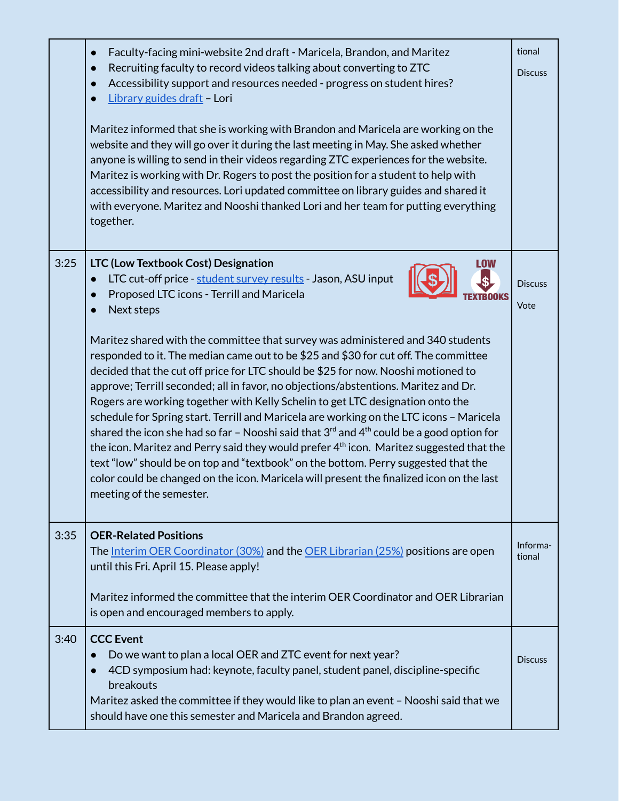|      | Faculty-facing mini-website 2nd draft - Maricela, Brandon, and Maritez<br>$\bullet$<br>Recruiting faculty to record videos talking about converting to ZTC<br>Accessibility support and resources needed - progress on student hires?<br>Library guides draft - Lori<br>Maritez informed that she is working with Brandon and Maricela are working on the<br>website and they will go over it during the last meeting in May. She asked whether<br>anyone is willing to send in their videos regarding ZTC experiences for the website.<br>Maritez is working with Dr. Rogers to post the position for a student to help with<br>accessibility and resources. Lori updated committee on library guides and shared it<br>with everyone. Maritez and Nooshi thanked Lori and her team for putting everything<br>together.                                                                                                                                                                                                                                                                                                              | tional<br><b>Discuss</b> |
|------|--------------------------------------------------------------------------------------------------------------------------------------------------------------------------------------------------------------------------------------------------------------------------------------------------------------------------------------------------------------------------------------------------------------------------------------------------------------------------------------------------------------------------------------------------------------------------------------------------------------------------------------------------------------------------------------------------------------------------------------------------------------------------------------------------------------------------------------------------------------------------------------------------------------------------------------------------------------------------------------------------------------------------------------------------------------------------------------------------------------------------------------|--------------------------|
| 3:25 | LTC (Low Textbook Cost) Designation<br>LOW<br>LTC cut-off price - student survey results - Jason, ASU input<br>Proposed LTC icons - Terrill and Maricela<br>Next steps<br>Maritez shared with the committee that survey was administered and 340 students<br>responded to it. The median came out to be \$25 and \$30 for cut off. The committee<br>decided that the cut off price for LTC should be \$25 for now. Nooshi motioned to<br>approve; Terrill seconded; all in favor, no objections/abstentions. Maritez and Dr.<br>Rogers are working together with Kelly Schelin to get LTC designation onto the<br>schedule for Spring start. Terrill and Maricela are working on the LTC icons - Maricela<br>shared the icon she had so far - Nooshi said that $3^{rd}$ and $4^{th}$ could be a good option for<br>the icon. Maritez and Perry said they would prefer 4 <sup>th</sup> icon. Maritez suggested that the<br>text "low" should be on top and "textbook" on the bottom. Perry suggested that the<br>color could be changed on the icon. Maricela will present the finalized icon on the last<br>meeting of the semester. | <b>Discuss</b><br>Vote   |
| 3:35 | <b>OER-Related Positions</b><br>The <u>Interim OER Coordinator (30%)</u> and the OER Librarian (25%) positions are open<br>until this Fri. April 15. Please apply!<br>Maritez informed the committee that the interim OER Coordinator and OER Librarian<br>is open and encouraged members to apply.                                                                                                                                                                                                                                                                                                                                                                                                                                                                                                                                                                                                                                                                                                                                                                                                                                  | Informa-<br>tional       |
| 3:40 | <b>CCC Event</b><br>Do we want to plan a local OER and ZTC event for next year?<br>4CD symposium had: keynote, faculty panel, student panel, discipline-specific<br>breakouts<br>Maritez asked the committee if they would like to plan an event - Nooshi said that we<br>should have one this semester and Maricela and Brandon agreed.                                                                                                                                                                                                                                                                                                                                                                                                                                                                                                                                                                                                                                                                                                                                                                                             | <b>Discuss</b>           |